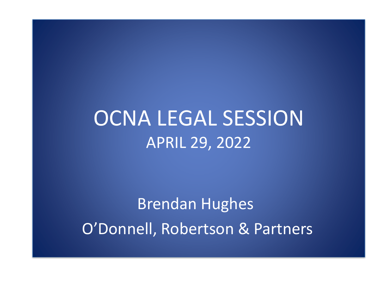## OCNA LEGAL SESSION APRIL 29, 2022

Brendan Hughes O'Donnell, Robertson & Partners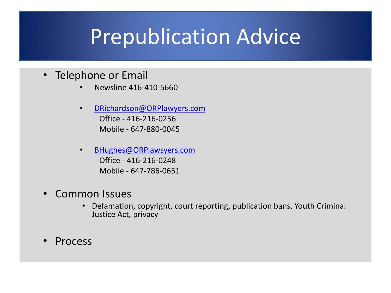## Prepublication Advice

- Telephone or Email
	- Newsline 416-410-5660
	- [DRichardson@ORPlawyers.com](mailto:DRichardson@ORPlawyers.com) Office - 416-216-0256 Mobile - 647-880-0045
	- [BHughes@ORPlawsyers.com](mailto:Srobertson@ORPlawsyers.com) Office - 416-216-0248 Mobile - 647-786-0651
- Common Issues
	- Defamation, copyright, court reporting, publication bans, Youth Criminal Justice Act, privacy
- Process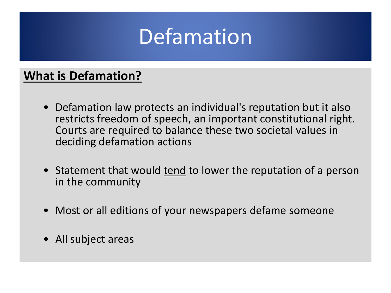#### **What is Defamation?**

- Defamation law protects an individual's reputation but it also restricts freedom of speech, an important constitutional right. Courts are required to balance these two societal values in deciding defamation actions
- Statement that would tend to lower the reputation of a person in the community
- Most or all editions of your newspapers defame someone
- All subject areas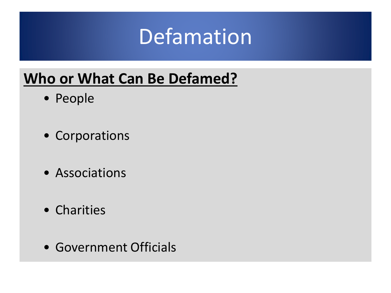#### **Who or What Can Be Defamed?**

- People
- Corporations
- Associations
- Charities
- Government Officials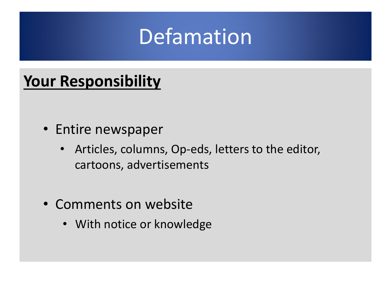## **Your Responsibility**

- Entire newspaper
	- Articles, columns, Op-eds, letters to the editor, cartoons, advertisements
- Comments on website
	- With notice or knowledge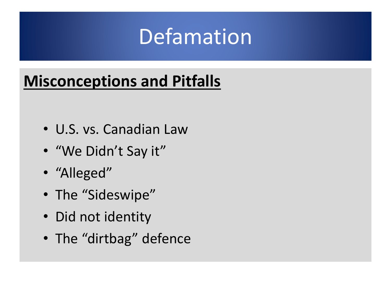## **Misconceptions and Pitfalls**

- U.S. vs. Canadian Law
- "We Didn't Say it"
- "Alleged"
- The "Sideswipe"
- Did not identity
- The "dirtbag" defence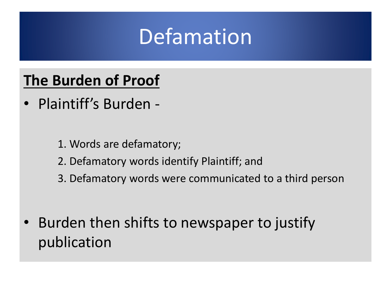#### **The Burden of Proof**

- Plaintiff's Burden
	- 1. Words are defamatory;
	- 2. Defamatory words identify Plaintiff; and
	- 3. Defamatory words were communicated to a third person
- Burden then shifts to newspaper to justify publication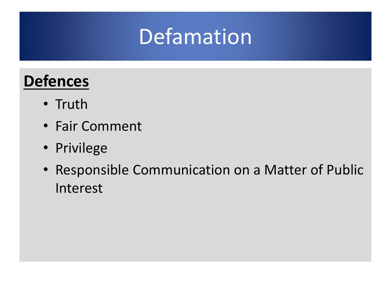## **Defences**

- Truth
- Fair Comment
- Privilege
- Responsible Communication on a Matter of Public Interest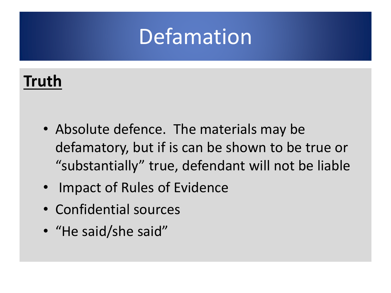### **Truth**

- Absolute defence. The materials may be defamatory, but if is can be shown to be true or "substantially" true, defendant will not be liable
- Impact of Rules of Evidence
- Confidential sources
- "He said/she said"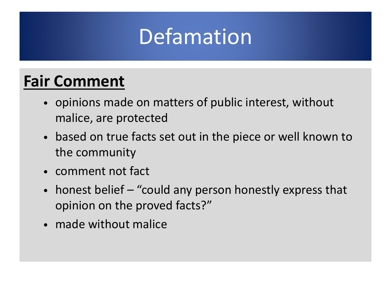### **Fair Comment**

- opinions made on matters of public interest, without malice, are protected
- based on true facts set out in the piece or well known to the community
- comment not fact
- honest belief "could any person honestly express that opinion on the proved facts?"
- made without malice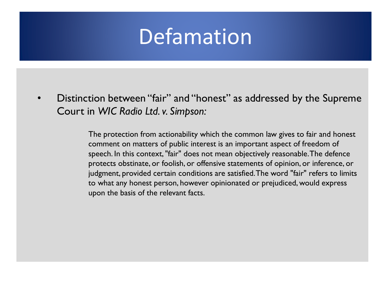• Distinction between "fair" and "honest" as addressed by the Supreme Court in *WIC Radio Ltd. v. Simpson:*

> The protection from actionability which the common law gives to fair and honest comment on matters of public interest is an important aspect of freedom of speech. In this context, "fair" does not mean objectively reasonable. The defence protects obstinate, or foolish, or offensive statements of opinion, or inference, or judgment, provided certain conditions are satisfied. The word "fair" refers to limits to what any honest person, however opinionated or prejudiced, would express upon the basis of the relevant facts.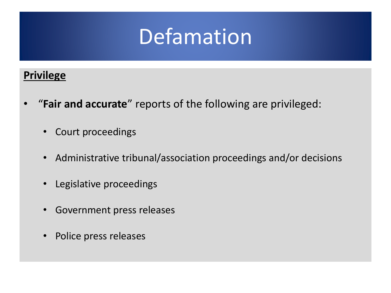#### **Privilege**

- "**Fair and accurate**" reports of the following are privileged:
	- Court proceedings
	- Administrative tribunal/association proceedings and/or decisions
	- Legislative proceedings
	- Government press releases
	- Police press releases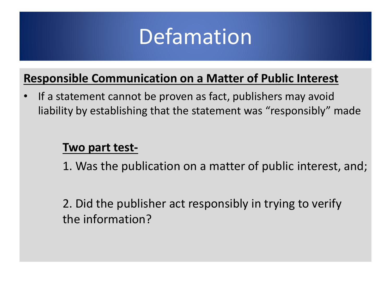

#### **Responsible Communication on a Matter of Public Interest**

If a statement cannot be proven as fact, publishers may avoid liability by establishing that the statement was "responsibly" made

#### **Two part test-**

1. Was the publication on a matter of public interest, and;

2. Did the publisher act responsibly in trying to verify the information?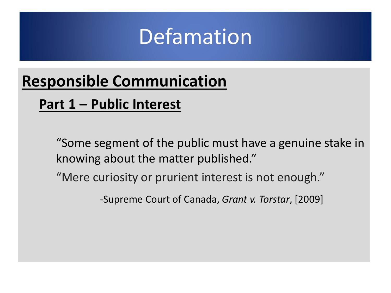## **Responsible Communication**

#### **Part 1 – Public Interest**

"Some segment of the public must have a genuine stake in knowing about the matter published."

"Mere curiosity or prurient interest is not enough."

-Supreme Court of Canada, *Grant v. Torstar*, [2009]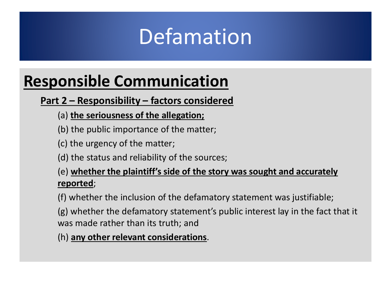## **Responsible Communication**

#### **Part 2 – Responsibility – factors considered**

- (a) **the seriousness of the allegation;**
- (b) the public importance of the matter;
- (c) the urgency of the matter;
- (d) the status and reliability of the sources;

#### (e) **whether the plaintiff's side of the story was sought and accurately reported**;

(f) whether the inclusion of the defamatory statement was justifiable;

(g) whether the defamatory statement's public interest lay in the fact that it was made rather than its truth; and

(h) **any other relevant considerations**.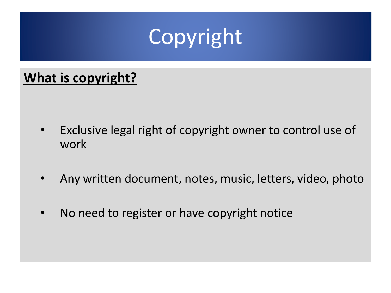#### **What is copyright?**

- Exclusive legal right of copyright owner to control use of work
- Any written document, notes, music, letters, video, photo
- No need to register or have copyright notice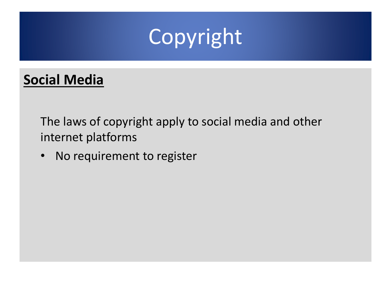#### **Social Media**

The laws of copyright apply to social media and other internet platforms

• No requirement to register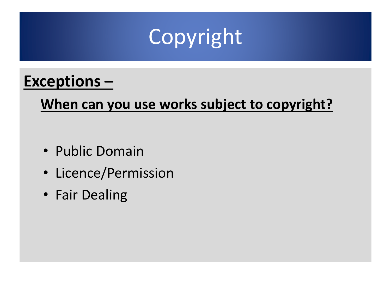#### **Exceptions –**

#### **When can you use works subject to copyright?**

- Public Domain
- Licence/Permission
- Fair Dealing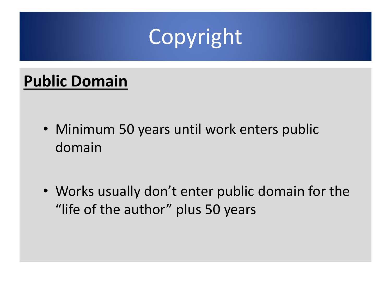#### **Public Domain**

- Minimum 50 years until work enters public domain
- Works usually don't enter public domain for the "life of the author" plus 50 years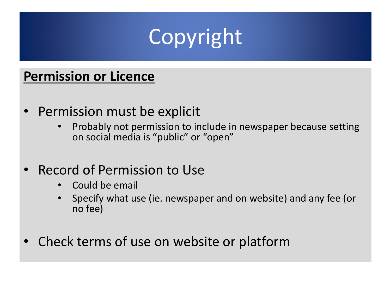

#### **Permission or Licence**

- Permission must be explicit
	- Probably not permission to include in newspaper because setting on social media is "public" or "open"
- Record of Permission to Use
	- Could be email
	- Specify what use (ie. newspaper and on website) and any fee (or no fee)
- Check terms of use on website or platform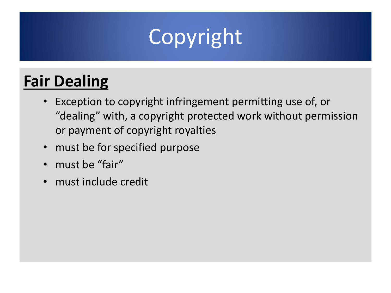- Exception to copyright infringement permitting use of, or "dealing" with, a copyright protected work without permission or payment of copyright royalties
- must be for specified purpose
- must be "fair"
- must include credit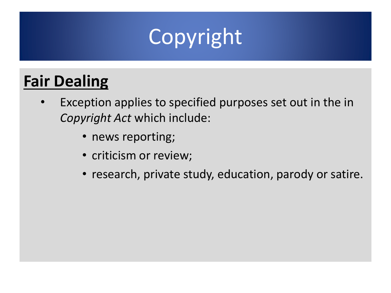- Exception applies to specified purposes set out in the in *Copyright Act* which include:
	- news reporting;
	- criticism or review;
	- research, private study, education, parody or satire.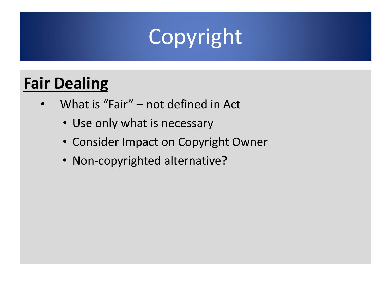- What is "Fair" not defined in Act
	- Use only what is necessary
	- Consider Impact on Copyright Owner
	- Non-copyrighted alternative?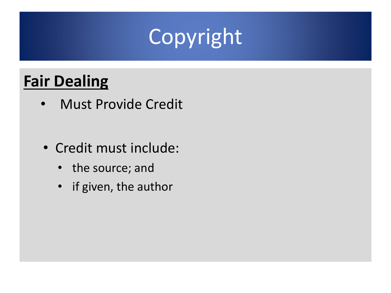- Must Provide Credit
- Credit must include:
	- the source; and
	- if given, the author